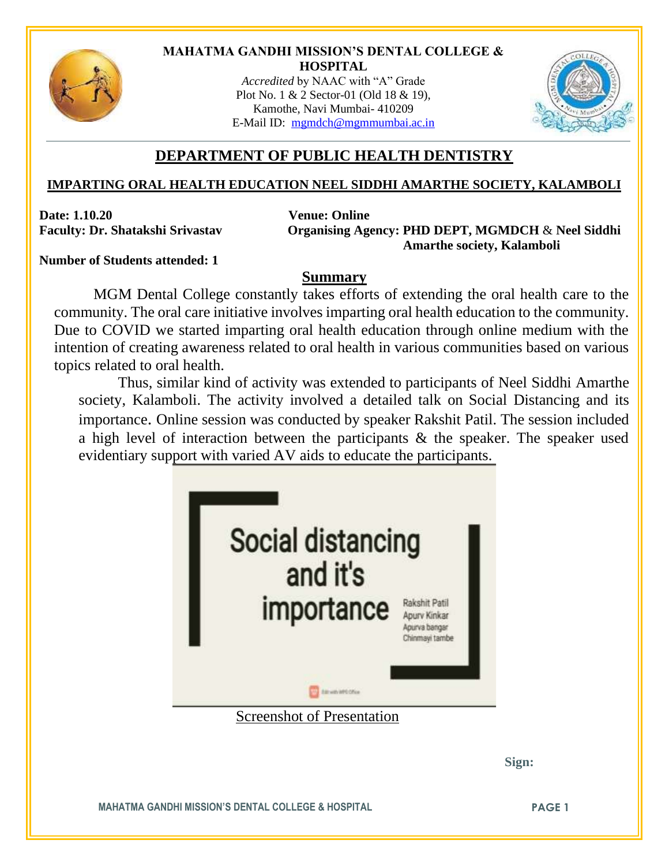

## **MAHATMA GANDHI MISSION'S DENTAL COLLEGE & HOSPITAL**

*Accredited* by NAAC with "A" Grade Plot No. 1 & 2 Sector-01 (Old 18 & 19), Kamothe, Navi Mumbai- 410209 E-Mail ID: [mgmdch@mgmmumbai.ac.in](mailto:mgmdch@mgmmumbai.ac.in)



## **DEPARTMENT OF PUBLIC HEALTH DENTISTRY**

## **IMPARTING ORAL HEALTH EDUCATION NEEL SIDDHI AMARTHE SOCIETY, KALAMBOLI**

**Date: 1.10.20 Venue: Online**

**Faculty: Dr. Shatakshi Srivastav Organising Agency: PHD DEPT, MGMDCH** & **Neel Siddhi Amarthe society, Kalamboli**

**Number of Students attended: 1**

## **Summary**

MGM Dental College constantly takes efforts of extending the oral health care to the community. The oral care initiative involves imparting oral health education to the community. Due to COVID we started imparting oral health education through online medium with the intention of creating awareness related to oral health in various communities based on various topics related to oral health.

Thus, similar kind of activity was extended to participants of Neel Siddhi Amarthe society, Kalamboli. The activity involved a detailed talk on Social Distancing and its importance. Online session was conducted by speaker Rakshit Patil. The session included a high level of interaction between the participants & the speaker. The speaker used evidentiary support with varied AV aids to educate the participants.



**MAHATMA GANDHI MISSION'S DENTAL COLLEGE & HOSPITAL PAGE 1**